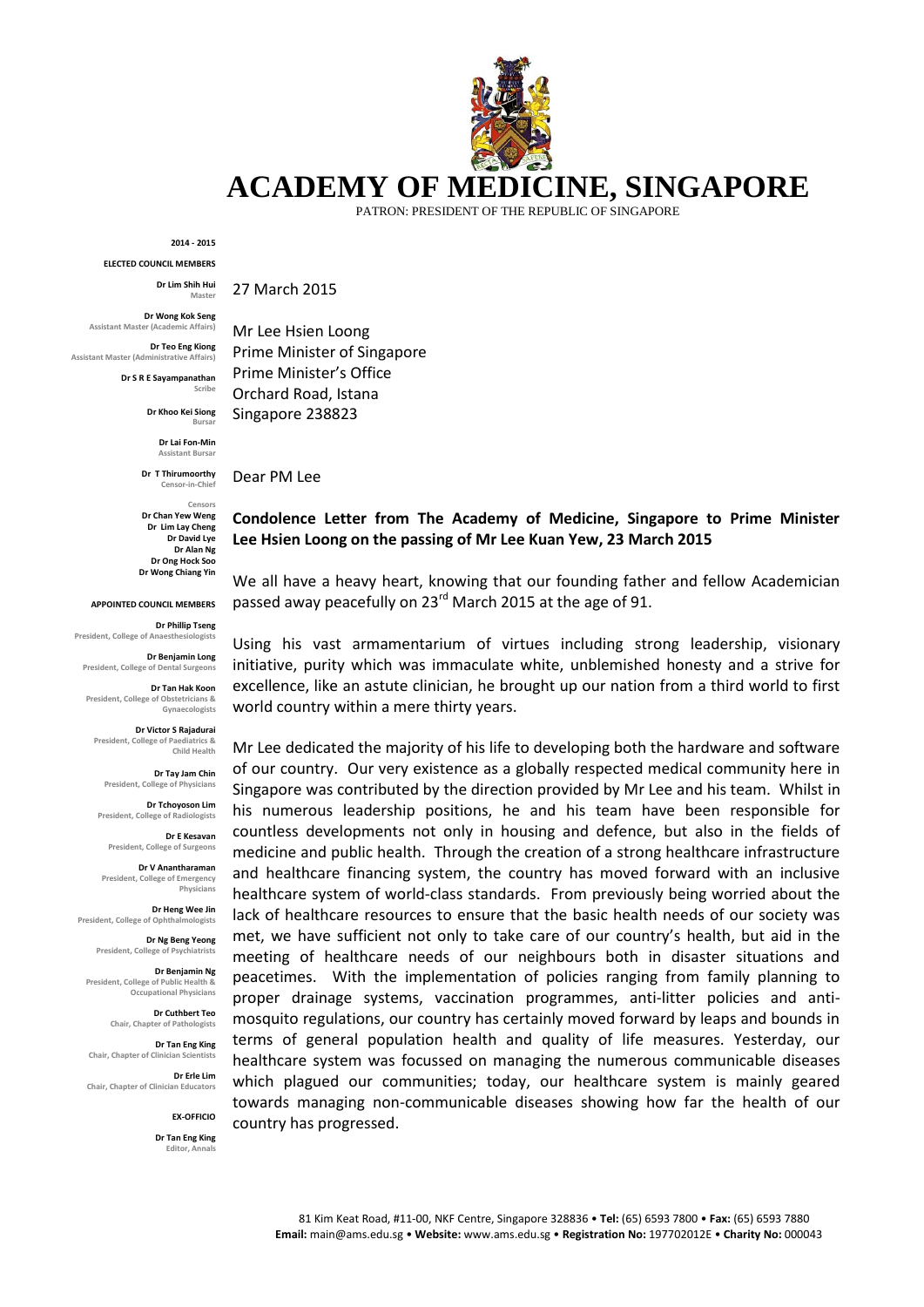## **ACADEMY OF MEDICINE, SINGAPORE**

PATRON: PRESIDENT OF THE REPUBLIC OF SINGAPORE

**2014 - 2015**

**ELECTED COUNCIL MEMBERS**

**Dr Lim Shih Hui Master**

**Dr Wong Kok Seng Assistant Master (Academic Affairs)**

**Dr Teo Eng Kiong Assistant Master (Administrative Affairs)**

**Dr S R E Sayampanathan**

**Scribe**

**Dr Khoo Kei Siong Bursar**

> **Dr Lai Fon-Min Assistant Bursa**

**Dr T Thirumoorthy** Censor-in-Chief

**Censors Dr Chan Yew Weng Dr Lim Lay Cheng Dr David Lye Dr Alan Ng Dr Ong Hock Soo Dr Wong Chiang Yin**

**APPOINTED COUNCIL MEMBERS**

**Dr Phillip Tseng President, College of Anaesthesiologists**

**Dr Benjamin Long President, College of Dental Surgeons**

**Dr Tan Hak Koon President, College of Obstetricians & Gynaecologists**

**Dr Victor S Rajadurai President, College of Paediatrics & Child Health**

**Dr Tay Jam Chin President, College of Physicians**

**Dr Tchoyoson Lim President, College of Radiologists**

**Dr E Kesavan President, College of Surgeons**

**Dr V Anantharaman** President, College of Emergency **Physicians**

**Dr Heng Wee Jin President, College of Ophthalmologists**

**Dr Ng Beng Yeong President, College of Psychiatrists**

**Dr Benjamin Ng President, College of Public Health & Occupational Physicians**

> **Dr Cuthbert Teo Chair, Chapter of Pathologists**

**Dr Tan Eng King Chair, Chapter of Clinician Scientists**

**Dr Erle Lim Chair, Chapter of Clinician Educators**

**EX-OFFICIO**

**Dr Tan Eng King Editor, Annal** 

27 March 2015

Mr Lee Hsien Loong Prime Minister of Singapore Prime Minister's Office Orchard Road, Istana Singapore 238823

Dear PM Lee

## **Condolence Letter from The Academy of Medicine, Singapore to Prime Minister Lee Hsien Loong on the passing of Mr Lee Kuan Yew, 23 March 2015**

We all have a heavy heart, knowing that our founding father and fellow Academician passed away peacefully on 23<sup>rd</sup> March 2015 at the age of 91.

Using his vast armamentarium of virtues including strong leadership, visionary initiative, purity which was immaculate white, unblemished honesty and a strive for excellence, like an astute clinician, he brought up our nation from a third world to first world country within a mere thirty years.

Mr Lee dedicated the majority of his life to developing both the hardware and software of our country. Our very existence as a globally respected medical community here in Singapore was contributed by the direction provided by Mr Lee and his team. Whilst in his numerous leadership positions, he and his team have been responsible for countless developments not only in housing and defence, but also in the fields of medicine and public health. Through the creation of a strong healthcare infrastructure and healthcare financing system, the country has moved forward with an inclusive healthcare system of world-class standards. From previously being worried about the lack of healthcare resources to ensure that the basic health needs of our society was met, we have sufficient not only to take care of our country's health, but aid in the meeting of healthcare needs of our neighbours both in disaster situations and peacetimes. With the implementation of policies ranging from family planning to proper drainage systems, vaccination programmes, anti-litter policies and antimosquito regulations, our country has certainly moved forward by leaps and bounds in terms of general population health and quality of life measures. Yesterday, our healthcare system was focussed on managing the numerous communicable diseases which plagued our communities; today, our healthcare system is mainly geared towards managing non-communicable diseases showing how far the health of our country has progressed.